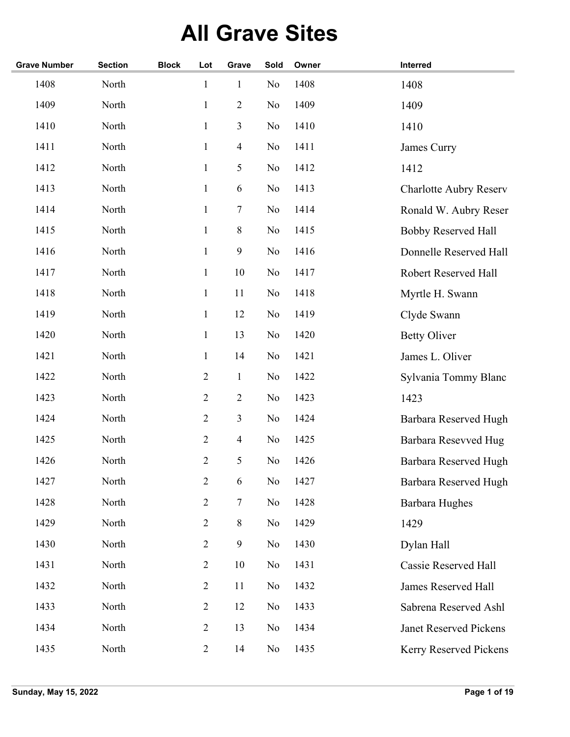## **All Grave Sites**

| <b>Grave Number</b> | <b>Section</b> | <b>Block</b> | Lot            | Grave          | Sold           | Owner | Interred                      |
|---------------------|----------------|--------------|----------------|----------------|----------------|-------|-------------------------------|
| 1408                | North          |              | $\mathbf{1}$   | $\mathbf{1}$   | No             | 1408  | 1408                          |
| 1409                | North          |              | $\mathbf{1}$   | $\overline{2}$ | N <sub>o</sub> | 1409  | 1409                          |
| 1410                | North          |              | $\mathbf{1}$   | 3              | No             | 1410  | 1410                          |
| 1411                | North          |              | $\mathbf{1}$   | $\overline{4}$ | N <sub>o</sub> | 1411  | James Curry                   |
| 1412                | North          |              | $\mathbf{1}$   | 5              | N <sub>o</sub> | 1412  | 1412                          |
| 1413                | North          |              | $\mathbf{1}$   | 6              | N <sub>o</sub> | 1413  | <b>Charlotte Aubry Reserv</b> |
| 1414                | North          |              | $\mathbf{1}$   | 7              | N <sub>o</sub> | 1414  | Ronald W. Aubry Reser         |
| 1415                | North          |              | $\mathbf{1}$   | $8\,$          | N <sub>o</sub> | 1415  | <b>Bobby Reserved Hall</b>    |
| 1416                | North          |              | $\mathbf{1}$   | 9              | No             | 1416  | Donnelle Reserved Hall        |
| 1417                | North          |              | $\mathbf{1}$   | 10             | No             | 1417  | Robert Reserved Hall          |
| 1418                | North          |              | $\mathbf{1}$   | 11             | No             | 1418  | Myrtle H. Swann               |
| 1419                | North          |              | $\mathbf{1}$   | 12             | No             | 1419  | Clyde Swann                   |
| 1420                | North          |              | $\mathbf{1}$   | 13             | No             | 1420  | <b>Betty Oliver</b>           |
| 1421                | North          |              | $\mathbf{1}$   | 14             | No             | 1421  | James L. Oliver               |
| 1422                | North          |              | $\overline{2}$ | $\mathbf{1}$   | N <sub>o</sub> | 1422  | Sylvania Tommy Blanc          |
| 1423                | North          |              | $\overline{2}$ | $\overline{2}$ | No             | 1423  | 1423                          |
| 1424                | North          |              | $\overline{2}$ | 3              | N <sub>o</sub> | 1424  | Barbara Reserved Hugh         |
| 1425                | North          |              | $\overline{2}$ | 4              | No             | 1425  | Barbara Resevved Hug          |
| 1426                | North          |              | $\overline{2}$ | 5              | N <sub>o</sub> | 1426  | Barbara Reserved Hugh         |
| 1427                | North          |              | $\mathbf{2}$   | 6              | No             | 1427  | Barbara Reserved Hugh         |
| 1428                | North          |              | $\overline{2}$ | $\tau$         | No             | 1428  | <b>Barbara Hughes</b>         |
| 1429                | North          |              | $\overline{2}$ | $8\,$          | N <sub>o</sub> | 1429  | 1429                          |
| 1430                | North          |              | $\overline{2}$ | 9              | N <sub>0</sub> | 1430  | Dylan Hall                    |
| 1431                | North          |              | $\overline{2}$ | 10             | No             | 1431  | Cassie Reserved Hall          |
| 1432                | North          |              | $\overline{2}$ | 11             | N <sub>0</sub> | 1432  | James Reserved Hall           |
| 1433                | North          |              | $\overline{2}$ | 12             | No             | 1433  | Sabrena Reserved Ashl         |
| 1434                | North          |              | $\overline{2}$ | 13             | No             | 1434  | Janet Reserved Pickens        |
| 1435                | North          |              | $\overline{2}$ | 14             | N <sub>0</sub> | 1435  | Kerry Reserved Pickens        |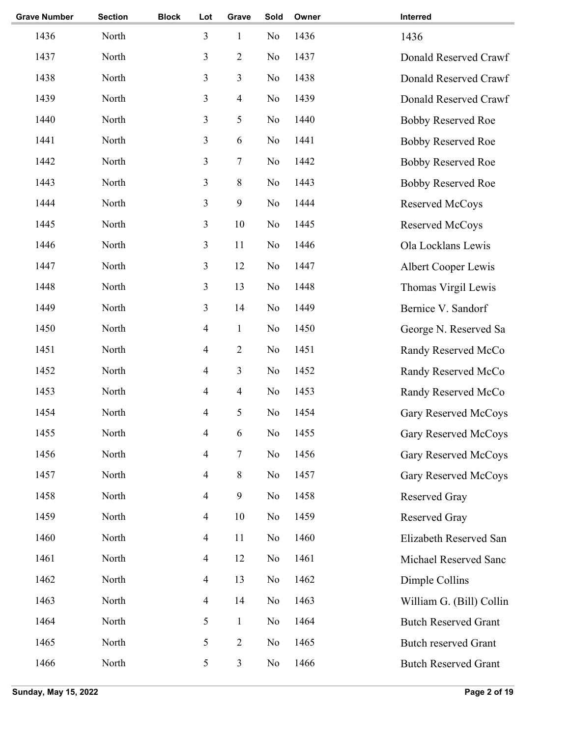| <b>Grave Number</b> | <b>Section</b> | <b>Block</b> | Lot                      | Grave          | Sold           | Owner | Interred                    |
|---------------------|----------------|--------------|--------------------------|----------------|----------------|-------|-----------------------------|
| 1436                | North          |              | 3                        | $\mathbf{1}$   | N <sub>o</sub> | 1436  | 1436                        |
| 1437                | North          |              | 3                        | $\mathbf{2}$   | No             | 1437  | Donald Reserved Crawf       |
| 1438                | North          |              | $\mathfrak{Z}$           | 3              | No             | 1438  | Donald Reserved Crawf       |
| 1439                | North          |              | $\mathfrak{Z}$           | 4              | No             | 1439  | Donald Reserved Crawf       |
| 1440                | North          |              | 3                        | 5              | N <sub>o</sub> | 1440  | <b>Bobby Reserved Roe</b>   |
| 1441                | North          |              | 3                        | 6              | N <sub>o</sub> | 1441  | <b>Bobby Reserved Roe</b>   |
| 1442                | North          |              | $\mathfrak{Z}$           | 7              | N <sub>o</sub> | 1442  | <b>Bobby Reserved Roe</b>   |
| 1443                | North          |              | $\mathfrak{Z}$           | $8\,$          | N <sub>o</sub> | 1443  | <b>Bobby Reserved Roe</b>   |
| 1444                | North          |              | 3                        | 9              | N <sub>o</sub> | 1444  | Reserved McCoys             |
| 1445                | North          |              | 3                        | 10             | No             | 1445  | Reserved McCoys             |
| 1446                | North          |              | 3                        | 11             | No             | 1446  | Ola Locklans Lewis          |
| 1447                | North          |              | 3                        | 12             | No             | 1447  | Albert Cooper Lewis         |
| 1448                | North          |              | 3                        | 13             | No             | 1448  | Thomas Virgil Lewis         |
| 1449                | North          |              | 3                        | 14             | No             | 1449  | Bernice V. Sandorf          |
| 1450                | North          |              | $\overline{\mathcal{A}}$ | $\mathbf{1}$   | N <sub>o</sub> | 1450  | George N. Reserved Sa       |
| 1451                | North          |              | 4                        | $\mathbf{2}$   | N <sub>o</sub> | 1451  | Randy Reserved McCo         |
| 1452                | North          |              | $\overline{\mathcal{A}}$ | 3              | N <sub>o</sub> | 1452  | Randy Reserved McCo         |
| 1453                | North          |              | 4                        | $\overline{4}$ | N <sub>o</sub> | 1453  | Randy Reserved McCo         |
| 1454                | North          |              | 4                        | 5              | No             | 1454  | Gary Reserved McCoys        |
| 1455                | North          |              | 4                        | 6              | No             | 1455  | Gary Reserved McCoys        |
| 1456                | North          |              | $\overline{\mathcal{A}}$ | 7              | No             | 1456  | <b>Gary Reserved McCoys</b> |
| 1457                | North          |              | $\overline{\mathcal{A}}$ | $\,8\,$        | No             | 1457  | Gary Reserved McCoys        |
| 1458                | North          |              | $\overline{\mathcal{A}}$ | $\mathbf{9}$   | No             | 1458  | Reserved Gray               |
| 1459                | North          |              | $\overline{\mathcal{A}}$ | 10             | No             | 1459  | Reserved Gray               |
| 1460                | North          |              | $\overline{\mathcal{A}}$ | 11             | No             | 1460  | Elizabeth Reserved San      |
| 1461                | North          |              | $\overline{\mathcal{A}}$ | 12             | No             | 1461  | Michael Reserved Sanc       |
| 1462                | North          |              | $\overline{\mathcal{A}}$ | 13             | No             | 1462  | Dimple Collins              |
| 1463                | North          |              | 4                        | 14             | No             | 1463  | William G. (Bill) Collin    |
| 1464                | North          |              | 5                        | $\mathbf{1}$   | No             | 1464  | <b>Butch Reserved Grant</b> |
| 1465                | North          |              | 5                        | $\sqrt{2}$     | No             | 1465  | <b>Butch reserved Grant</b> |
| 1466                | North          |              | 5                        | 3              | N <sub>0</sub> | 1466  | <b>Butch Reserved Grant</b> |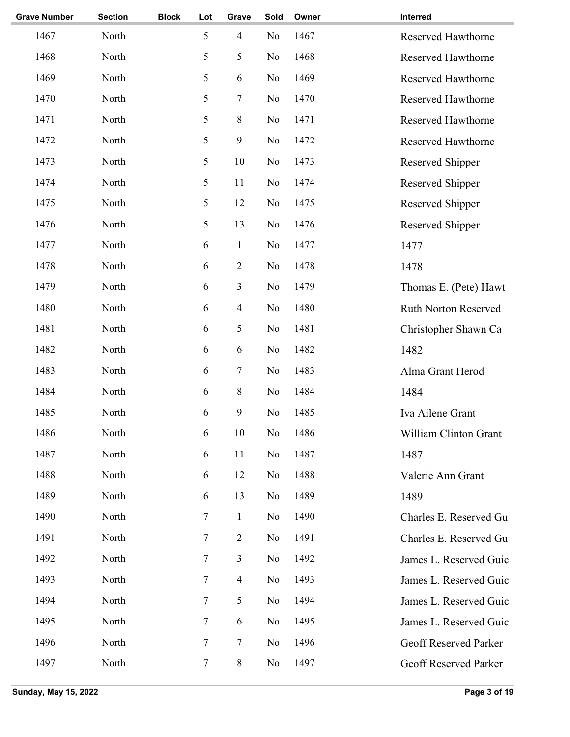| <b>Grave Number</b> | <b>Section</b> | <b>Block</b> | Lot            | Grave          | Sold           | Owner | Interred                     |
|---------------------|----------------|--------------|----------------|----------------|----------------|-------|------------------------------|
| 1467                | North          |              | 5              | $\overline{4}$ | No             | 1467  | Reserved Hawthorne           |
| 1468                | North          |              | 5              | 5              | N <sub>o</sub> | 1468  | Reserved Hawthorne           |
| 1469                | North          |              | 5              | $\sqrt{6}$     | N <sub>o</sub> | 1469  | Reserved Hawthorne           |
| 1470                | North          |              | 5              | $\sqrt{ }$     | No             | 1470  | Reserved Hawthorne           |
| 1471                | North          |              | 5              | $\,8\,$        | N <sub>o</sub> | 1471  | Reserved Hawthorne           |
| 1472                | North          |              | 5              | 9              | N <sub>o</sub> | 1472  | Reserved Hawthorne           |
| 1473                | North          |              | 5              | 10             | No             | 1473  | Reserved Shipper             |
| 1474                | North          |              | 5              | 11             | No             | 1474  | Reserved Shipper             |
| 1475                | North          |              | 5              | 12             | No             | 1475  | Reserved Shipper             |
| 1476                | North          |              | 5              | 13             | No             | 1476  | Reserved Shipper             |
| 1477                | North          |              | 6              | $\mathbf{1}$   | N <sub>o</sub> | 1477  | 1477                         |
| 1478                | North          |              | 6              | $\sqrt{2}$     | No             | 1478  | 1478                         |
| 1479                | North          |              | 6              | 3              | N <sub>o</sub> | 1479  | Thomas E. (Pete) Hawt        |
| 1480                | North          |              | 6              | $\overline{4}$ | N <sub>o</sub> | 1480  | <b>Ruth Norton Reserved</b>  |
| 1481                | North          |              | 6              | 5              | N <sub>o</sub> | 1481  | Christopher Shawn Ca         |
| 1482                | North          |              | 6              | 6              | N <sub>o</sub> | 1482  | 1482                         |
| 1483                | North          |              | 6              | 7              | N <sub>o</sub> | 1483  | Alma Grant Herod             |
| 1484                | North          |              | 6              | $\,8\,$        | No             | 1484  | 1484                         |
| 1485                | North          |              | 6              | $\mathbf{9}$   | N <sub>o</sub> | 1485  | Iva Ailene Grant             |
| 1486                | North          |              | 6              | 10             | No             | 1486  | William Clinton Grant        |
| 1487                | North          |              | 6              | 11             | No             | 1487  | 1487                         |
| 1488                | North          |              | 6              | 12             | No             | 1488  | Valerie Ann Grant            |
| 1489                | North          |              | 6              | 13             | N <sub>o</sub> | 1489  | 1489                         |
| 1490                | North          |              | 7              | $\mathbf{1}$   | No             | 1490  | Charles E. Reserved Gu       |
| 1491                | North          |              | 7              | $\overline{2}$ | N <sub>o</sub> | 1491  | Charles E. Reserved Gu       |
| 1492                | North          |              | 7              | 3              | No             | 1492  | James L. Reserved Guic       |
| 1493                | North          |              | 7              | $\overline{4}$ | No             | 1493  | James L. Reserved Guic       |
| 1494                | North          |              | 7              | 5              | No             | 1494  | James L. Reserved Guic       |
| 1495                | North          |              | 7              | 6              | No             | 1495  | James L. Reserved Guic       |
| 1496                | North          |              | $\overline{7}$ | $\tau$         | No             | 1496  | <b>Geoff Reserved Parker</b> |
| 1497                | North          |              | 7              | $\,8\,$        | No             | 1497  | <b>Geoff Reserved Parker</b> |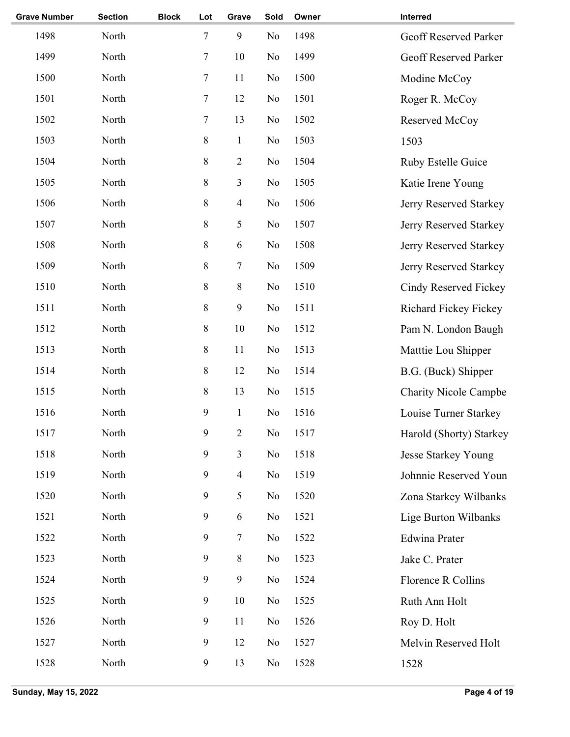| <b>Grave Number</b> | <b>Section</b> | <b>Block</b> | Lot            | Grave                    | Sold           | Owner | Interred                     |
|---------------------|----------------|--------------|----------------|--------------------------|----------------|-------|------------------------------|
| 1498                | North          |              | 7              | $\boldsymbol{9}$         | No             | 1498  | <b>Geoff Reserved Parker</b> |
| 1499                | North          |              | $\overline{7}$ | 10                       | No             | 1499  | Geoff Reserved Parker        |
| 1500                | North          |              | 7              | 11                       | No             | 1500  | Modine McCoy                 |
| 1501                | North          |              | 7              | 12                       | No             | 1501  | Roger R. McCoy               |
| 1502                | North          |              | 7              | 13                       | No             | 1502  | Reserved McCoy               |
| 1503                | North          |              | 8              | $\mathbf{1}$             | No             | 1503  | 1503                         |
| 1504                | North          |              | $8\,$          | $\overline{2}$           | N <sub>o</sub> | 1504  | Ruby Estelle Guice           |
| 1505                | North          |              | 8              | 3                        | N <sub>o</sub> | 1505  | Katie Irene Young            |
| 1506                | North          |              | 8              | $\overline{4}$           | N <sub>o</sub> | 1506  | Jerry Reserved Starkey       |
| 1507                | North          |              | $8\,$          | 5                        | N <sub>o</sub> | 1507  | Jerry Reserved Starkey       |
| 1508                | North          |              | $8\,$          | 6                        | No             | 1508  | Jerry Reserved Starkey       |
| 1509                | North          |              | $8\,$          | $\boldsymbol{7}$         | N <sub>o</sub> | 1509  | Jerry Reserved Starkey       |
| 1510                | North          |              | 8              | $\,8\,$                  | N <sub>o</sub> | 1510  | Cindy Reserved Fickey        |
| 1511                | North          |              | 8              | 9                        | N <sub>o</sub> | 1511  | Richard Fickey Fickey        |
| 1512                | North          |              | $8\,$          | 10                       | No             | 1512  | Pam N. London Baugh          |
| 1513                | North          |              | 8              | 11                       | No             | 1513  | Matttie Lou Shipper          |
| 1514                | North          |              | 8              | 12                       | No             | 1514  | B.G. (Buck) Shipper          |
| 1515                | North          |              | $8\,$          | 13                       | No             | 1515  | <b>Charity Nicole Campbe</b> |
| 1516                | North          |              | 9              | $\mathbf 1$              | No             | 1516  | Louise Turner Starkey        |
| 1517                | North          |              | 9              | $\mathbf{2}$             | $\rm No$       | 1517  | Harold (Shorty) Starkey      |
| 1518                | North          |              | 9              | 3                        | N <sub>0</sub> | 1518  | <b>Jesse Starkey Young</b>   |
| 1519                | North          |              | $\mathbf{9}$   | $\overline{\mathcal{A}}$ | No             | 1519  | Johnnie Reserved Youn        |
| 1520                | North          |              | 9              | 5                        | No             | 1520  | Zona Starkey Wilbanks        |
| 1521                | North          |              | 9              | 6                        | N <sub>o</sub> | 1521  | Lige Burton Wilbanks         |
| 1522                | North          |              | 9              | 7                        | N <sub>o</sub> | 1522  | <b>Edwina Prater</b>         |
| 1523                | North          |              | $\mathbf{9}$   | $8\,$                    | N <sub>o</sub> | 1523  | Jake C. Prater               |
| 1524                | North          |              | 9              | 9                        | No             | 1524  | Florence R Collins           |
| 1525                | North          |              | 9              | 10                       | No             | 1525  | Ruth Ann Holt                |
| 1526                | North          |              | 9              | 11                       | No             | 1526  | Roy D. Holt                  |
| 1527                | North          |              | 9              | 12                       | No             | 1527  | Melvin Reserved Holt         |
| 1528                | North          |              | 9              | 13                       | No             | 1528  | 1528                         |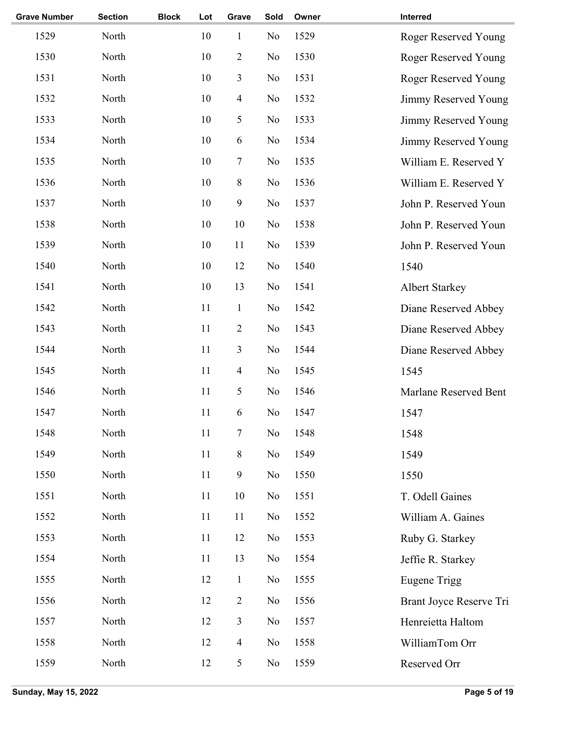| <b>Grave Number</b> | <b>Section</b> | <b>Block</b> | Lot | Grave                    | Sold           | Owner | Interred                    |
|---------------------|----------------|--------------|-----|--------------------------|----------------|-------|-----------------------------|
| 1529                | North          |              | 10  | $\mathbf{1}$             | No             | 1529  | <b>Roger Reserved Young</b> |
| 1530                | North          |              | 10  | $\mathbf{2}$             | No             | 1530  | <b>Roger Reserved Young</b> |
| 1531                | North          |              | 10  | 3                        | No             | 1531  | <b>Roger Reserved Young</b> |
| 1532                | North          |              | 10  | $\overline{\mathcal{A}}$ | No             | 1532  | Jimmy Reserved Young        |
| 1533                | North          |              | 10  | 5                        | No             | 1533  | Jimmy Reserved Young        |
| 1534                | North          |              | 10  | 6                        | No             | 1534  | Jimmy Reserved Young        |
| 1535                | North          |              | 10  | 7                        | No             | 1535  | William E. Reserved Y       |
| 1536                | North          |              | 10  | $8\,$                    | No             | 1536  | William E. Reserved Y       |
| 1537                | North          |              | 10  | 9                        | No             | 1537  | John P. Reserved Youn       |
| 1538                | North          |              | 10  | 10                       | No             | 1538  | John P. Reserved Youn       |
| 1539                | North          |              | 10  | 11                       | No             | 1539  | John P. Reserved Youn       |
| 1540                | North          |              | 10  | 12                       | No             | 1540  | 1540                        |
| 1541                | North          |              | 10  | 13                       | No             | 1541  | <b>Albert Starkey</b>       |
| 1542                | North          |              | 11  | $\mathbf{1}$             | No             | 1542  | Diane Reserved Abbey        |
| 1543                | North          |              | 11  | $\mathbf{2}$             | No             | 1543  | Diane Reserved Abbey        |
| 1544                | North          |              | 11  | 3                        | No             | 1544  | Diane Reserved Abbey        |
| 1545                | North          |              | 11  | $\overline{\mathcal{A}}$ | No             | 1545  | 1545                        |
| 1546                | North          |              | 11  | 5                        | No             | 1546  | Marlane Reserved Bent       |
| 1547                | North          |              | 11  | 6                        | No             | 1547  | 1547                        |
| 1548                | North          |              | 11  | $\boldsymbol{7}$         | No             | 1548  | 1548                        |
| 1549                | North          |              | 11  | $8\,$                    | No             | 1549  | 1549                        |
| 1550                | North          |              | 11  | 9                        | No             | 1550  | 1550                        |
| 1551                | North          |              | 11  | 10                       | N <sub>0</sub> | 1551  | T. Odell Gaines             |
| 1552                | North          |              | 11  | 11                       | No             | 1552  | William A. Gaines           |
| 1553                | North          |              | 11  | 12                       | No             | 1553  | Ruby G. Starkey             |
| 1554                | North          |              | 11  | 13                       | No             | 1554  | Jeffie R. Starkey           |
| 1555                | North          |              | 12  | $\mathbf{1}$             | No             | 1555  | <b>Eugene Trigg</b>         |
| 1556                | North          |              | 12  | $\mathbf{2}$             | No             | 1556  | Brant Joyce Reserve Tri     |
| 1557                | North          |              | 12  | 3                        | No             | 1557  | Henreietta Haltom           |
| 1558                | North          |              | 12  | $\overline{4}$           | No             | 1558  | WilliamTom Orr              |
| 1559                | North          |              | 12  | 5                        | No             | 1559  | Reserved Orr                |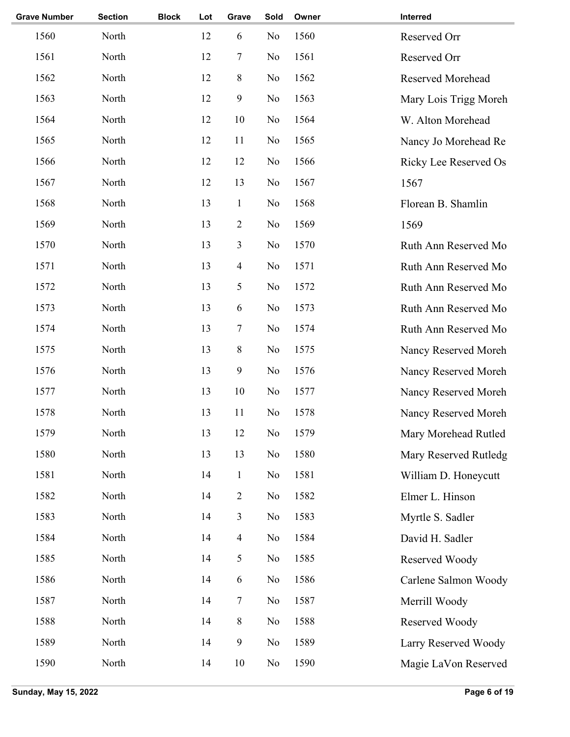| <b>Grave Number</b> | <b>Section</b> | <b>Block</b> | Lot | Grave            | Sold | Owner | Interred                 |
|---------------------|----------------|--------------|-----|------------------|------|-------|--------------------------|
| 1560                | North          |              | 12  | 6                | No   | 1560  | Reserved Orr             |
| 1561                | North          |              | 12  | 7                | No   | 1561  | Reserved Orr             |
| 1562                | North          |              | 12  | $\,8\,$          | No   | 1562  | <b>Reserved Morehead</b> |
| 1563                | North          |              | 12  | 9                | No   | 1563  | Mary Lois Trigg Moreh    |
| 1564                | North          |              | 12  | 10               | No   | 1564  | W. Alton Morehead        |
| 1565                | North          |              | 12  | 11               | No   | 1565  | Nancy Jo Morehead Re     |
| 1566                | North          |              | 12  | 12               | No   | 1566  | Ricky Lee Reserved Os    |
| 1567                | North          |              | 12  | 13               | No   | 1567  | 1567                     |
| 1568                | North          |              | 13  | $\mathbf{1}$     | No   | 1568  | Florean B. Shamlin       |
| 1569                | North          |              | 13  | $\overline{2}$   | No   | 1569  | 1569                     |
| 1570                | North          |              | 13  | $\mathfrak{Z}$   | No   | 1570  | Ruth Ann Reserved Mo     |
| 1571                | North          |              | 13  | $\overline{4}$   | No   | 1571  | Ruth Ann Reserved Mo     |
| 1572                | North          |              | 13  | 5                | No   | 1572  | Ruth Ann Reserved Mo     |
| 1573                | North          |              | 13  | 6                | No   | 1573  | Ruth Ann Reserved Mo     |
| 1574                | North          |              | 13  | 7                | No   | 1574  | Ruth Ann Reserved Mo     |
| 1575                | North          |              | 13  | $8\,$            | No   | 1575  | Nancy Reserved Moreh     |
| 1576                | North          |              | 13  | 9                | No   | 1576  | Nancy Reserved Moreh     |
| 1577                | North          |              | 13  | $10\,$           | No   | 1577  | Nancy Reserved Moreh     |
| 1578                | North          |              | 13  | 11               | No   | 1578  | Nancy Reserved Moreh     |
| 1579                | North          |              | 13  | 12               | No   | 1579  | Mary Morehead Rutled     |
| 1580                | North          |              | 13  | 13               | No   | 1580  | Mary Reserved Rutledg    |
| 1581                | North          |              | 14  | $\mathbf{1}$     | No   | 1581  | William D. Honeycutt     |
| 1582                | North          |              | 14  | $\overline{2}$   | No   | 1582  | Elmer L. Hinson          |
| 1583                | North          |              | 14  | $\mathfrak{Z}$   | No   | 1583  | Myrtle S. Sadler         |
| 1584                | North          |              | 14  | $\overline{4}$   | No   | 1584  | David H. Sadler          |
| 1585                | North          |              | 14  | 5                | No   | 1585  | Reserved Woody           |
| 1586                | North          |              | 14  | 6                | No   | 1586  | Carlene Salmon Woody     |
| 1587                | North          |              | 14  | $\tau$           | No   | 1587  | Merrill Woody            |
| 1588                | North          |              | 14  | 8                | No   | 1588  | Reserved Woody           |
| 1589                | North          |              | 14  | $\boldsymbol{9}$ | No   | 1589  | Larry Reserved Woody     |
| 1590                | North          |              | 14  | $10\,$           | No   | 1590  | Magie LaVon Reserved     |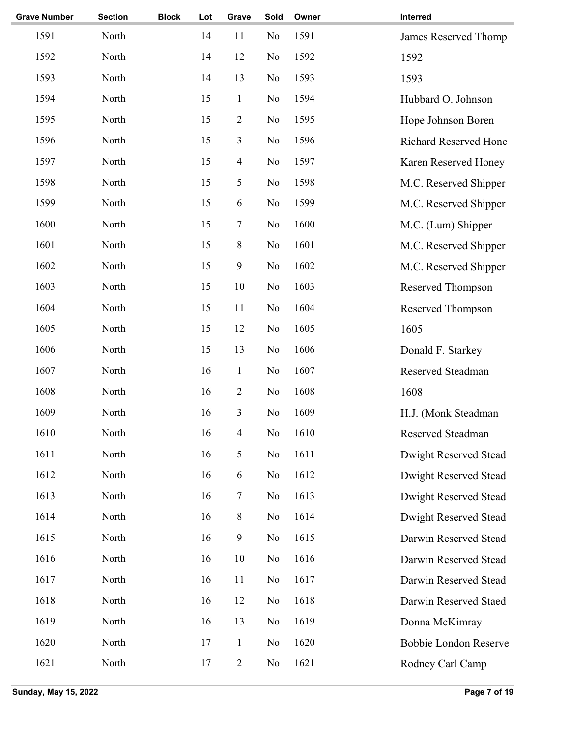| <b>Grave Number</b> | <b>Section</b> | <b>Block</b> | Lot | Grave                   | Sold | Owner | Interred                     |
|---------------------|----------------|--------------|-----|-------------------------|------|-------|------------------------------|
| 1591                | North          |              | 14  | 11                      | No   | 1591  | James Reserved Thomp         |
| 1592                | North          |              | 14  | 12                      | No   | 1592  | 1592                         |
| 1593                | North          |              | 14  | 13                      | No   | 1593  | 1593                         |
| 1594                | North          |              | 15  | $\mathbf{1}$            | No   | 1594  | Hubbard O. Johnson           |
| 1595                | North          |              | 15  | $\mathbf{2}$            | No   | 1595  | Hope Johnson Boren           |
| 1596                | North          |              | 15  | 3                       | No   | 1596  | <b>Richard Reserved Hone</b> |
| 1597                | North          |              | 15  | $\overline{\mathbf{4}}$ | No   | 1597  | Karen Reserved Honey         |
| 1598                | North          |              | 15  | 5                       | No   | 1598  | M.C. Reserved Shipper        |
| 1599                | North          |              | 15  | 6                       | No   | 1599  | M.C. Reserved Shipper        |
| 1600                | North          |              | 15  | 7                       | No   | 1600  | M.C. (Lum) Shipper           |
| 1601                | North          |              | 15  | $8\,$                   | No   | 1601  | M.C. Reserved Shipper        |
| 1602                | North          |              | 15  | 9                       | No   | 1602  | M.C. Reserved Shipper        |
| 1603                | North          |              | 15  | 10                      | No   | 1603  | Reserved Thompson            |
| 1604                | North          |              | 15  | 11                      | No   | 1604  | Reserved Thompson            |
| 1605                | North          |              | 15  | 12                      | No   | 1605  | 1605                         |
| 1606                | North          |              | 15  | 13                      | No   | 1606  | Donald F. Starkey            |
| 1607                | North          |              | 16  | $\mathbf{1}$            | No   | 1607  | Reserved Steadman            |
| 1608                | North          |              | 16  | $\mathbf{2}$            | No   | 1608  | 1608                         |
| 1609                | North          |              | 16  | 3                       | No   | 1609  | H.J. (Monk Steadman          |
| 1610                | North          |              | 16  | $\overline{\mathbf{4}}$ | No   | 1610  | Reserved Steadman            |
| 1611                | North          |              | 16  | 5                       | No   | 1611  | Dwight Reserved Stead        |
| 1612                | North          |              | 16  | 6                       | No   | 1612  | Dwight Reserved Stead        |
| 1613                | North          |              | 16  | 7                       | No   | 1613  | Dwight Reserved Stead        |
| 1614                | North          |              | 16  | 8                       | No   | 1614  | Dwight Reserved Stead        |
| 1615                | North          |              | 16  | 9                       | No   | 1615  | Darwin Reserved Stead        |
| 1616                | North          |              | 16  | 10                      | No   | 1616  | Darwin Reserved Stead        |
| 1617                | North          |              | 16  | 11                      | No   | 1617  | Darwin Reserved Stead        |
| 1618                | North          |              | 16  | 12                      | No   | 1618  | Darwin Reserved Staed        |
| 1619                | North          |              | 16  | 13                      | No   | 1619  | Donna McKimray               |
| 1620                | North          |              | 17  | $\mathbf{1}$            | No   | 1620  | <b>Bobbie London Reserve</b> |
| 1621                | North          |              | 17  | $\overline{2}$          | No   | 1621  | Rodney Carl Camp             |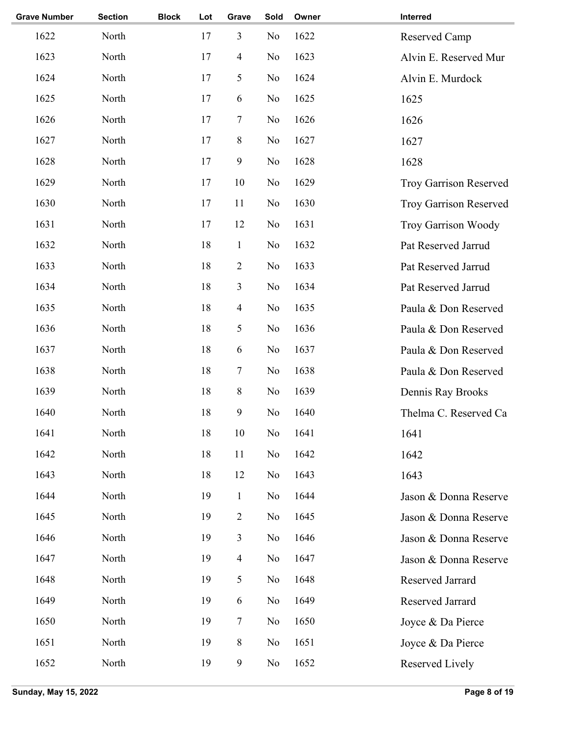| <b>Grave Number</b> | <b>Section</b> | <b>Block</b> | Lot | Grave                    | Sold           | Owner | Interred                      |
|---------------------|----------------|--------------|-----|--------------------------|----------------|-------|-------------------------------|
| 1622                | North          |              | 17  | 3                        | N <sub>o</sub> | 1622  | Reserved Camp                 |
| 1623                | North          |              | 17  | $\overline{\mathcal{A}}$ | N <sub>o</sub> | 1623  | Alvin E. Reserved Mur         |
| 1624                | North          |              | 17  | 5                        | N <sub>o</sub> | 1624  | Alvin E. Murdock              |
| 1625                | North          |              | 17  | 6                        | N <sub>o</sub> | 1625  | 1625                          |
| 1626                | North          |              | 17  | 7                        | No             | 1626  | 1626                          |
| 1627                | North          |              | 17  | $8\,$                    | N <sub>o</sub> | 1627  | 1627                          |
| 1628                | North          |              | 17  | $\boldsymbol{9}$         | N <sub>o</sub> | 1628  | 1628                          |
| 1629                | North          |              | 17  | 10                       | N <sub>0</sub> | 1629  | <b>Troy Garrison Reserved</b> |
| 1630                | North          |              | 17  | 11                       | No             | 1630  | <b>Troy Garrison Reserved</b> |
| 1631                | North          |              | 17  | 12                       | N <sub>0</sub> | 1631  | <b>Troy Garrison Woody</b>    |
| 1632                | North          |              | 18  | $\mathbf{1}$             | N <sub>o</sub> | 1632  | Pat Reserved Jarrud           |
| 1633                | North          |              | 18  | $\sqrt{2}$               | N <sub>o</sub> | 1633  | Pat Reserved Jarrud           |
| 1634                | North          |              | 18  | 3                        | N <sub>o</sub> | 1634  | Pat Reserved Jarrud           |
| 1635                | North          |              | 18  | $\overline{4}$           | N <sub>o</sub> | 1635  | Paula & Don Reserved          |
| 1636                | North          |              | 18  | 5                        | N <sub>o</sub> | 1636  | Paula & Don Reserved          |
| 1637                | North          |              | 18  | 6                        | N <sub>o</sub> | 1637  | Paula & Don Reserved          |
| 1638                | North          |              | 18  | 7                        | N <sub>o</sub> | 1638  | Paula & Don Reserved          |
| 1639                | North          |              | 18  | $\,$ 8 $\,$              | N <sub>o</sub> | 1639  | Dennis Ray Brooks             |
| 1640                | North          |              | 18  | $\boldsymbol{9}$         | N <sub>o</sub> | 1640  | Thelma C. Reserved Ca         |
| 1641                | North          |              | 18  | $10\,$                   | No             | 1641  | 1641                          |
| 1642                | North          |              | 18  | 11                       | N <sub>0</sub> | 1642  | 1642                          |
| 1643                | North          |              | 18  | 12                       | No             | 1643  | 1643                          |
| 1644                | North          |              | 19  | $\mathbf{1}$             | No             | 1644  | Jason & Donna Reserve         |
| 1645                | North          |              | 19  | $\overline{2}$           | N <sub>o</sub> | 1645  | Jason & Donna Reserve         |
| 1646                | North          |              | 19  | 3                        | N <sub>o</sub> | 1646  | Jason & Donna Reserve         |
| 1647                | North          |              | 19  | $\overline{4}$           | No             | 1647  | Jason & Donna Reserve         |
| 1648                | North          |              | 19  | 5                        | No             | 1648  | Reserved Jarrard              |
| 1649                | North          |              | 19  | 6                        | No             | 1649  | Reserved Jarrard              |
| 1650                | North          |              | 19  | 7                        | No             | 1650  | Joyce & Da Pierce             |
| 1651                | North          |              | 19  | $8\,$                    | No             | 1651  | Joyce & Da Pierce             |
| 1652                | North          |              | 19  | $\boldsymbol{9}$         | N <sub>0</sub> | 1652  | Reserved Lively               |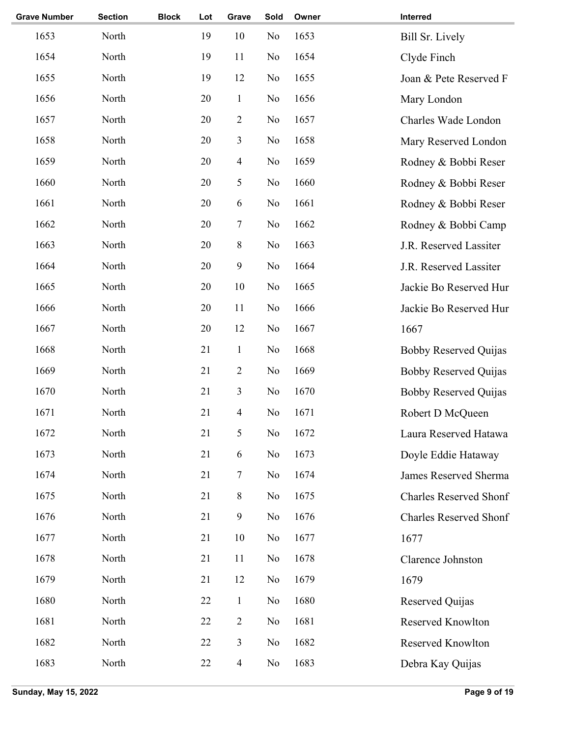| <b>Grave Number</b> | <b>Section</b> | <b>Block</b> | Lot | Grave            | Sold           | Owner | Interred                      |
|---------------------|----------------|--------------|-----|------------------|----------------|-------|-------------------------------|
| 1653                | North          |              | 19  | 10               | N <sub>0</sub> | 1653  | Bill Sr. Lively               |
| 1654                | North          |              | 19  | 11               | N <sub>o</sub> | 1654  | Clyde Finch                   |
| 1655                | North          |              | 19  | 12               | N <sub>0</sub> | 1655  | Joan & Pete Reserved F        |
| 1656                | North          |              | 20  | $\mathbf{1}$     | N <sub>o</sub> | 1656  | Mary London                   |
| 1657                | North          |              | 20  | $\overline{2}$   | No             | 1657  | Charles Wade London           |
| 1658                | North          |              | 20  | 3                | N <sub>o</sub> | 1658  | Mary Reserved London          |
| 1659                | North          |              | 20  | $\overline{4}$   | No             | 1659  | Rodney & Bobbi Reser          |
| 1660                | North          |              | 20  | 5                | No             | 1660  | Rodney & Bobbi Reser          |
| 1661                | North          |              | 20  | 6                | N <sub>o</sub> | 1661  | Rodney & Bobbi Reser          |
| 1662                | North          |              | 20  | 7                | N <sub>o</sub> | 1662  | Rodney & Bobbi Camp           |
| 1663                | North          |              | 20  | $\,$ 8 $\,$      | N <sub>o</sub> | 1663  | J.R. Reserved Lassiter        |
| 1664                | North          |              | 20  | $\boldsymbol{9}$ | N <sub>o</sub> | 1664  | J.R. Reserved Lassiter        |
| 1665                | North          |              | 20  | 10               | No             | 1665  | Jackie Bo Reserved Hur        |
| 1666                | North          |              | 20  | 11               | No             | 1666  | Jackie Bo Reserved Hur        |
| 1667                | North          |              | 20  | 12               | No             | 1667  | 1667                          |
| 1668                | North          |              | 21  | $\mathbf{1}$     | No             | 1668  | <b>Bobby Reserved Quijas</b>  |
| 1669                | North          |              | 21  | $\overline{2}$   | N <sub>o</sub> | 1669  | <b>Bobby Reserved Quijas</b>  |
| 1670                | North          |              | 21  | 3                | N <sub>o</sub> | 1670  | <b>Bobby Reserved Quijas</b>  |
| 1671                | North          |              | 21  | 4                | No             | 1671  | Robert D McQueen              |
| 1672                | North          |              | 21  | 5                | No             | 1672  | Laura Reserved Hatawa         |
| 1673                | North          |              | 21  | 6                | N <sub>o</sub> | 1673  | Doyle Eddie Hataway           |
| 1674                | North          |              | 21  | 7                | No             | 1674  | James Reserved Sherma         |
| 1675                | North          |              | 21  | $8\,$            | No             | 1675  | <b>Charles Reserved Shonf</b> |
| 1676                | North          |              | 21  | $\overline{9}$   | N <sub>o</sub> | 1676  | <b>Charles Reserved Shonf</b> |
| 1677                | North          |              | 21  | 10               | No             | 1677  | 1677                          |
| 1678                | North          |              | 21  | 11               | No             | 1678  | Clarence Johnston             |
| 1679                | North          |              | 21  | 12               | No             | 1679  | 1679                          |
| 1680                | North          |              | 22  | $\mathbf{1}$     | No             | 1680  | Reserved Quijas               |
| 1681                | North          |              | 22  | $\overline{2}$   | No             | 1681  | Reserved Knowlton             |
| 1682                | North          |              | 22  | 3                | No             | 1682  | Reserved Knowlton             |
| 1683                | North          |              | 22  | $\overline{4}$   | N <sub>0</sub> | 1683  | Debra Kay Quijas              |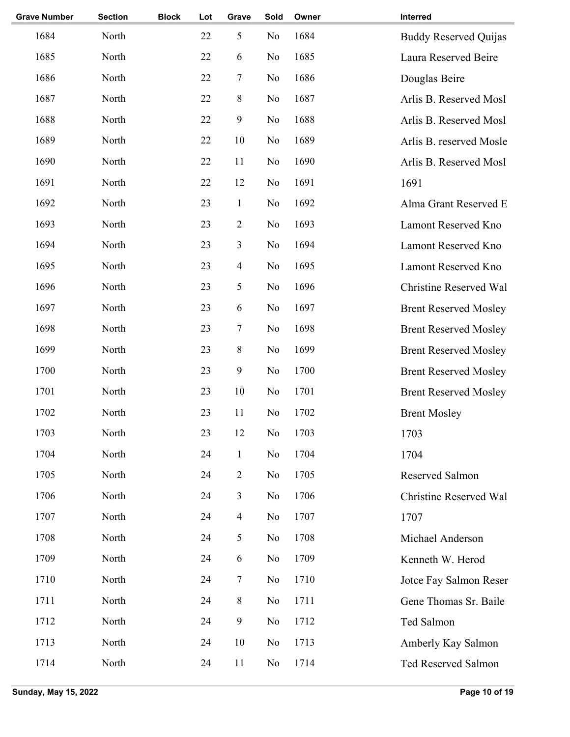| <b>Grave Number</b> | <b>Section</b> | <b>Block</b> | Lot | Grave            | Sold           | Owner | Interred                     |
|---------------------|----------------|--------------|-----|------------------|----------------|-------|------------------------------|
| 1684                | North          |              | 22  | 5                | No             | 1684  | <b>Buddy Reserved Quijas</b> |
| 1685                | North          |              | 22  | 6                | No             | 1685  | Laura Reserved Beire         |
| 1686                | North          |              | 22  | 7                | No             | 1686  | Douglas Beire                |
| 1687                | North          |              | 22  | $8\,$            | No             | 1687  | Arlis B. Reserved Mosl       |
| 1688                | North          |              | 22  | 9                | No             | 1688  | Arlis B. Reserved Mosl       |
| 1689                | North          |              | 22  | 10               | No             | 1689  | Arlis B. reserved Mosle      |
| 1690                | North          |              | 22  | 11               | No             | 1690  | Arlis B. Reserved Mosl       |
| 1691                | North          |              | 22  | 12               | No             | 1691  | 1691                         |
| 1692                | North          |              | 23  | $\mathbf{1}$     | No             | 1692  | Alma Grant Reserved E        |
| 1693                | North          |              | 23  | $\mathbf{2}$     | No             | 1693  | Lamont Reserved Kno          |
| 1694                | North          |              | 23  | 3                | No             | 1694  | Lamont Reserved Kno          |
| 1695                | North          |              | 23  | 4                | No             | 1695  | Lamont Reserved Kno          |
| 1696                | North          |              | 23  | 5                | No             | 1696  | Christine Reserved Wal       |
| 1697                | North          |              | 23  | 6                | No             | 1697  | <b>Brent Reserved Mosley</b> |
| 1698                | North          |              | 23  | $\boldsymbol{7}$ | No             | 1698  | <b>Brent Reserved Mosley</b> |
| 1699                | North          |              | 23  | $8\,$            | No             | 1699  | <b>Brent Reserved Mosley</b> |
| 1700                | North          |              | 23  | $\boldsymbol{9}$ | No             | 1700  | <b>Brent Reserved Mosley</b> |
| 1701                | North          |              | 23  | 10               | No             | 1701  | <b>Brent Reserved Mosley</b> |
| 1702                | North          |              | 23  | 11               | No             | 1702  | <b>Brent Mosley</b>          |
| 1703                | North          |              | 23  | 12               | No             | 1703  | 1703                         |
| 1704                | North          |              | 24  | $\mathbf{1}$     | No             | 1704  | 1704                         |
| 1705                | North          |              | 24  | $\sqrt{2}$       | No             | 1705  | Reserved Salmon              |
| 1706                | North          |              | 24  | 3                | No             | 1706  | Christine Reserved Wal       |
| 1707                | North          |              | 24  | $\overline{4}$   | No             | 1707  | 1707                         |
| 1708                | North          |              | 24  | 5                | No             | 1708  | Michael Anderson             |
| 1709                | North          |              | 24  | 6                | No             | 1709  | Kenneth W. Herod             |
| 1710                | North          |              | 24  | 7                | No             | 1710  | Jotce Fay Salmon Reser       |
| 1711                | North          |              | 24  | $\,8\,$          | No             | 1711  | Gene Thomas Sr. Baile        |
| 1712                | North          |              | 24  | 9                | No             | 1712  | Ted Salmon                   |
| 1713                | North          |              | 24  | 10               | No             | 1713  | Amberly Kay Salmon           |
| 1714                | North          |              | 24  | 11               | N <sub>0</sub> | 1714  | Ted Reserved Salmon          |
|                     |                |              |     |                  |                |       |                              |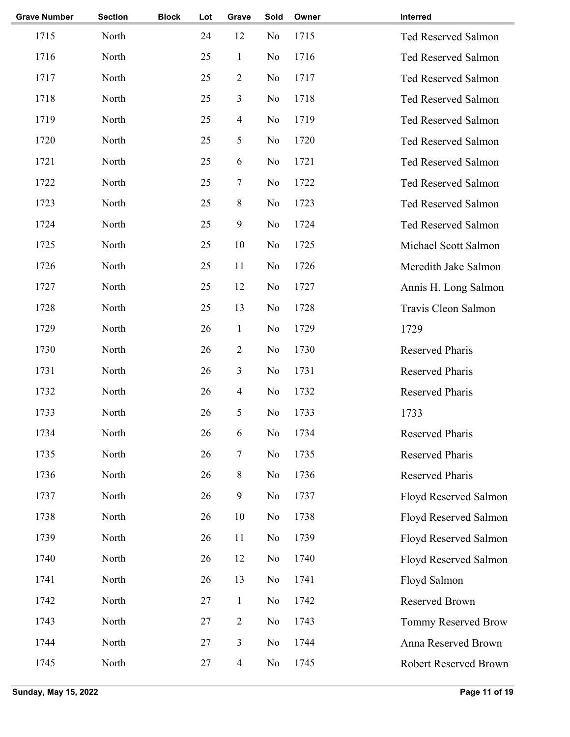| <b>Section</b> | <b>Block</b> | Lot | Grave            | Sold           | Owner | Interred               |
|----------------|--------------|-----|------------------|----------------|-------|------------------------|
| North          |              | 24  | 12               | No             | 1715  | Ted Reserved Salmon    |
| North          |              | 25  | $\mathbf{1}$     | No             | 1716  | Ted Reserved Salmon    |
| North          |              | 25  | $\overline{2}$   | No             | 1717  | Ted Reserved Salmon    |
| North          |              | 25  | 3                | No             | 1718  | Ted Reserved Salmon    |
| North          |              | 25  | $\overline{4}$   | No             | 1719  | Ted Reserved Salmon    |
| North          |              | 25  | 5                | No             | 1720  | Ted Reserved Salmon    |
| North          |              | 25  | 6                | No             | 1721  | Ted Reserved Salmon    |
| North          |              | 25  | $\boldsymbol{7}$ | No             | 1722  | Ted Reserved Salmon    |
| North          |              | 25  | 8                | No             | 1723  | Ted Reserved Salmon    |
| North          |              | 25  | 9                | No             | 1724  | Ted Reserved Salmon    |
| North          |              | 25  | 10               | No             | 1725  | Michael Scott Salmon   |
| North          |              | 25  | 11               | No             | 1726  | Meredith Jake Salmon   |
| North          |              | 25  | 12               | No             | 1727  | Annis H. Long Salmon   |
| North          |              | 25  | 13               | No             | 1728  | Travis Cleon Salmon    |
| North          |              | 26  | $\mathbf{1}$     | No             | 1729  | 1729                   |
| North          |              | 26  | $\overline{2}$   | No             | 1730  | <b>Reserved Pharis</b> |
| North          |              | 26  | 3                | N <sub>o</sub> | 1731  | <b>Reserved Pharis</b> |
| North          |              | 26  | $\overline{4}$   | No             | 1732  | <b>Reserved Pharis</b> |
| North          |              | 26  | 5                | No             | 1733  | 1733                   |
| North          |              | 26  | 6                | No             | 1734  | Reserved Pharis        |
| North          |              | 26  | 7                | No             | 1735  | Reserved Pharis        |
| North          |              | 26  | 8                | No             | 1736  | <b>Reserved Pharis</b> |
| North          |              | 26  | $\boldsymbol{9}$ | No             | 1737  | Floyd Reserved Salmon  |
| North          |              | 26  | 10               | No             | 1738  | Floyd Reserved Salmon  |
| North          |              | 26  | 11               | No             | 1739  | Floyd Reserved Salmon  |
| North          |              | 26  | 12               | No             | 1740  | Floyd Reserved Salmon  |
| North          |              | 26  | 13               | N <sub>0</sub> | 1741  | Floyd Salmon           |
| North          |              | 27  | $\mathbf{1}$     | No             | 1742  | Reserved Brown         |
| North          |              | 27  | 2                | No             | 1743  | Tommy Reserved Brow    |
| North          |              | 27  | 3                | No             | 1744  | Anna Reserved Brown    |
| North          |              | 27  | $\overline{4}$   | N <sub>0</sub> | 1745  | Robert Reserved Brown  |
|                |              |     |                  |                |       |                        |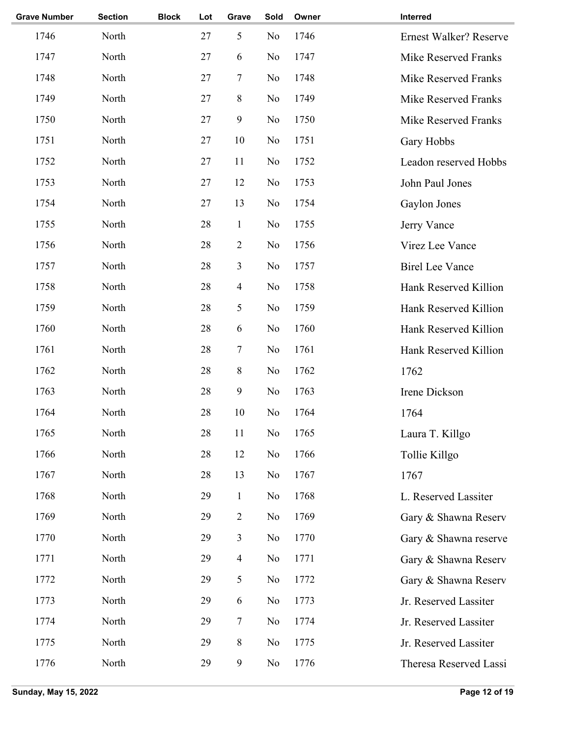| <b>Grave Number</b> | <b>Section</b> | <b>Block</b> | Lot | Grave            | Sold           | Owner | Interred                      |
|---------------------|----------------|--------------|-----|------------------|----------------|-------|-------------------------------|
| 1746                | North          |              | 27  | 5                | N <sub>o</sub> | 1746  | <b>Ernest Walker? Reserve</b> |
| 1747                | North          |              | 27  | 6                | No             | 1747  | Mike Reserved Franks          |
| 1748                | North          |              | 27  | 7                | No             | 1748  | <b>Mike Reserved Franks</b>   |
| 1749                | North          |              | 27  | 8                | No             | 1749  | Mike Reserved Franks          |
| 1750                | North          |              | 27  | 9                | No             | 1750  | Mike Reserved Franks          |
| 1751                | North          |              | 27  | 10               | N <sub>o</sub> | 1751  | Gary Hobbs                    |
| 1752                | North          |              | 27  | 11               | No             | 1752  | Leadon reserved Hobbs         |
| 1753                | North          |              | 27  | 12               | N <sub>o</sub> | 1753  | John Paul Jones               |
| 1754                | North          |              | 27  | 13               | No             | 1754  | Gaylon Jones                  |
| 1755                | North          |              | 28  | $\mathbf{1}$     | No             | 1755  | Jerry Vance                   |
| 1756                | North          |              | 28  | $\overline{2}$   | N <sub>o</sub> | 1756  | Virez Lee Vance               |
| 1757                | North          |              | 28  | 3                | No             | 1757  | <b>Birel Lee Vance</b>        |
| 1758                | North          |              | 28  | $\overline{4}$   | No             | 1758  | Hank Reserved Killion         |
| 1759                | North          |              | 28  | 5                | No             | 1759  | Hank Reserved Killion         |
| 1760                | North          |              | 28  | 6                | No             | 1760  | Hank Reserved Killion         |
| 1761                | North          |              | 28  | $\tau$           | No             | 1761  | Hank Reserved Killion         |
| 1762                | North          |              | 28  | 8                | No             | 1762  | 1762                          |
| 1763                | North          |              | 28  | $\mathbf{9}$     | No             | 1763  | Irene Dickson                 |
| 1764                | North          |              | 28  | 10               | No             | 1764  | 1764                          |
| 1765                | North          |              | 28  | 11               | No             | 1765  | Laura T. Killgo               |
| 1766                | North          |              | 28  | 12               | No             | 1766  | Tollie Killgo                 |
| 1767                | North          |              | 28  | 13               | No             | 1767  | 1767                          |
| 1768                | North          |              | 29  | $\mathbf{1}$     | No             | 1768  | L. Reserved Lassiter          |
| 1769                | North          |              | 29  | $\overline{2}$   | No             | 1769  | Gary & Shawna Reserv          |
| 1770                | North          |              | 29  | 3                | No             | 1770  | Gary & Shawna reserve         |
| 1771                | North          |              | 29  | $\overline{4}$   | No             | 1771  | Gary & Shawna Reserv          |
| 1772                | North          |              | 29  | 5                | No             | 1772  | Gary & Shawna Reserv          |
| 1773                | North          |              | 29  | 6                | No             | 1773  | Jr. Reserved Lassiter         |
| 1774                | North          |              | 29  | $\tau$           | No             | 1774  | Jr. Reserved Lassiter         |
| 1775                | North          |              | 29  | 8                | No             | 1775  | Jr. Reserved Lassiter         |
| 1776                | North          |              | 29  | $\boldsymbol{9}$ | No             | 1776  | Theresa Reserved Lassi        |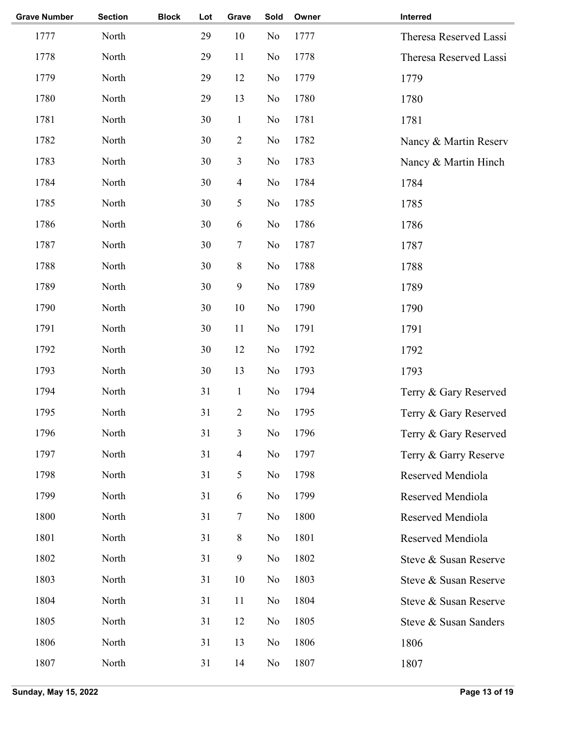| <b>Grave Number</b> | <b>Section</b> | <b>Block</b> | Lot | Grave            | Sold           | Owner | Interred               |
|---------------------|----------------|--------------|-----|------------------|----------------|-------|------------------------|
| 1777                | North          |              | 29  | 10               | No             | 1777  | Theresa Reserved Lassi |
| 1778                | North          |              | 29  | 11               | No             | 1778  | Theresa Reserved Lassi |
| 1779                | North          |              | 29  | 12               | No             | 1779  | 1779                   |
| 1780                | North          |              | 29  | 13               | No             | 1780  | 1780                   |
| 1781                | North          |              | 30  | $\mathbf{1}$     | No             | 1781  | 1781                   |
| 1782                | North          |              | 30  | $\sqrt{2}$       | No             | 1782  | Nancy & Martin Reserv  |
| 1783                | North          |              | 30  | $\mathfrak{Z}$   | No             | 1783  | Nancy & Martin Hinch   |
| 1784                | North          |              | 30  | $\overline{4}$   | No             | 1784  | 1784                   |
| 1785                | North          |              | 30  | $\mathfrak{S}$   | No             | 1785  | 1785                   |
| 1786                | North          |              | 30  | $\sqrt{6}$       | No             | 1786  | 1786                   |
| 1787                | North          |              | 30  | $\boldsymbol{7}$ | N <sub>o</sub> | 1787  | 1787                   |
| 1788                | North          |              | 30  | $\,8\,$          | No             | 1788  | 1788                   |
| 1789                | North          |              | 30  | $\mathbf{9}$     | No             | 1789  | 1789                   |
| 1790                | North          |              | 30  | 10               | No             | 1790  | 1790                   |
| 1791                | North          |              | 30  | 11               | No             | 1791  | 1791                   |
| 1792                | North          |              | 30  | 12               | N <sub>0</sub> | 1792  | 1792                   |
| 1793                | North          |              | 30  | 13               | No             | 1793  | 1793                   |
| 1794                | North          |              | 31  | $\mathbf{1}$     | No             | 1794  | Terry & Gary Reserved  |
| 1795                | North          |              | 31  | $\sqrt{2}$       | No             | 1795  | Terry & Gary Reserved  |
| 1796                | North          |              | 31  | 3                | No             | 1796  | Terry & Gary Reserved  |
| 1797                | North          |              | 31  | $\overline{4}$   | No             | 1797  | Terry & Garry Reserve  |
| 1798                | North          |              | 31  | $\sqrt{5}$       | No             | 1798  | Reserved Mendiola      |
| 1799                | North          |              | 31  | 6                | No             | 1799  | Reserved Mendiola      |
| 1800                | North          |              | 31  | $\tau$           | No             | 1800  | Reserved Mendiola      |
| 1801                | North          |              | 31  | $\, 8$           | No             | 1801  | Reserved Mendiola      |
| 1802                | North          |              | 31  | $\boldsymbol{9}$ | No             | 1802  | Steve & Susan Reserve  |
| 1803                | North          |              | 31  | 10               | No             | 1803  | Steve & Susan Reserve  |
| 1804                | North          |              | 31  | 11               | N <sub>0</sub> | 1804  | Steve & Susan Reserve  |
| 1805                | North          |              | 31  | 12               | No             | 1805  | Steve & Susan Sanders  |
| 1806                | North          |              | 31  | 13               | N <sub>0</sub> | 1806  | 1806                   |
| 1807                | North          |              | 31  | 14               | N <sub>0</sub> | 1807  | 1807                   |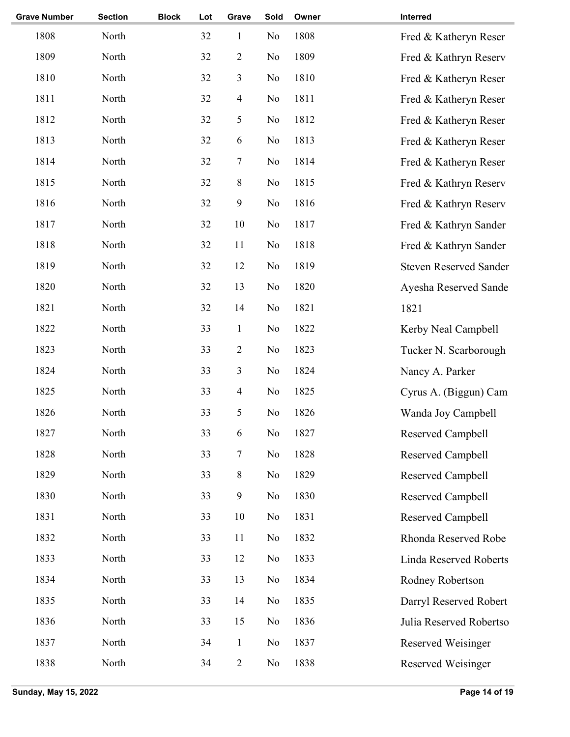| <b>Grave Number</b> | <b>Section</b> | <b>Block</b> | Lot | Grave                    | Sold | Owner | Interred                      |
|---------------------|----------------|--------------|-----|--------------------------|------|-------|-------------------------------|
| 1808                | North          |              | 32  | $\mathbf{1}$             | No   | 1808  | Fred & Katheryn Reser         |
| 1809                | North          |              | 32  | $\mathbf{2}$             | No   | 1809  | Fred & Kathryn Reserv         |
| 1810                | North          |              | 32  | 3                        | No   | 1810  | Fred & Katheryn Reser         |
| 1811                | North          |              | 32  | $\overline{\mathcal{A}}$ | No   | 1811  | Fred & Katheryn Reser         |
| 1812                | North          |              | 32  | 5                        | No   | 1812  | Fred & Katheryn Reser         |
| 1813                | North          |              | 32  | 6                        | No   | 1813  | Fred & Katheryn Reser         |
| 1814                | North          |              | 32  | $\boldsymbol{7}$         | No   | 1814  | Fred & Katheryn Reser         |
| 1815                | North          |              | 32  | $8\,$                    | No   | 1815  | Fred & Kathryn Reserv         |
| 1816                | North          |              | 32  | 9                        | No   | 1816  | Fred & Kathryn Reserv         |
| 1817                | North          |              | 32  | 10                       | No   | 1817  | Fred & Kathryn Sander         |
| 1818                | North          |              | 32  | 11                       | No   | 1818  | Fred & Kathryn Sander         |
| 1819                | North          |              | 32  | 12                       | No   | 1819  | <b>Steven Reserved Sander</b> |
| 1820                | North          |              | 32  | 13                       | No   | 1820  | Ayesha Reserved Sande         |
| 1821                | North          |              | 32  | 14                       | No   | 1821  | 1821                          |
| 1822                | North          |              | 33  | $\mathbf{1}$             | No   | 1822  | Kerby Neal Campbell           |
| 1823                | North          |              | 33  | $\mathbf{2}$             | No   | 1823  | Tucker N. Scarborough         |
| 1824                | North          |              | 33  | 3                        | No   | 1824  | Nancy A. Parker               |
| 1825                | North          |              | 33  | $\overline{\mathcal{A}}$ | No   | 1825  | Cyrus A. (Biggun) Cam         |
| 1826                | North          |              | 33  | 5                        | No   | 1826  | Wanda Joy Campbell            |
| 1827                | North          |              | 33  | 6                        | No   | 1827  | Reserved Campbell             |
| 1828                | North          |              | 33  | 7                        | No   | 1828  | Reserved Campbell             |
| 1829                | North          |              | 33  | $8\,$                    | No   | 1829  | Reserved Campbell             |
| 1830                | North          |              | 33  | $\mathbf{9}$             | No   | 1830  | Reserved Campbell             |
| 1831                | North          |              | 33  | 10                       | No   | 1831  | Reserved Campbell             |
| 1832                | North          |              | 33  | 11                       | No   | 1832  | Rhonda Reserved Robe          |
| 1833                | North          |              | 33  | 12                       | No   | 1833  | Linda Reserved Roberts        |
| 1834                | North          |              | 33  | 13                       | No   | 1834  | Rodney Robertson              |
| 1835                | North          |              | 33  | 14                       | No   | 1835  | Darryl Reserved Robert        |
| 1836                | North          |              | 33  | 15                       | No   | 1836  | Julia Reserved Robertso       |
| 1837                | North          |              | 34  | $\mathbf{1}$             | No   | 1837  | <b>Reserved Weisinger</b>     |
| 1838                | North          |              | 34  | $\overline{2}$           | No   | 1838  | Reserved Weisinger            |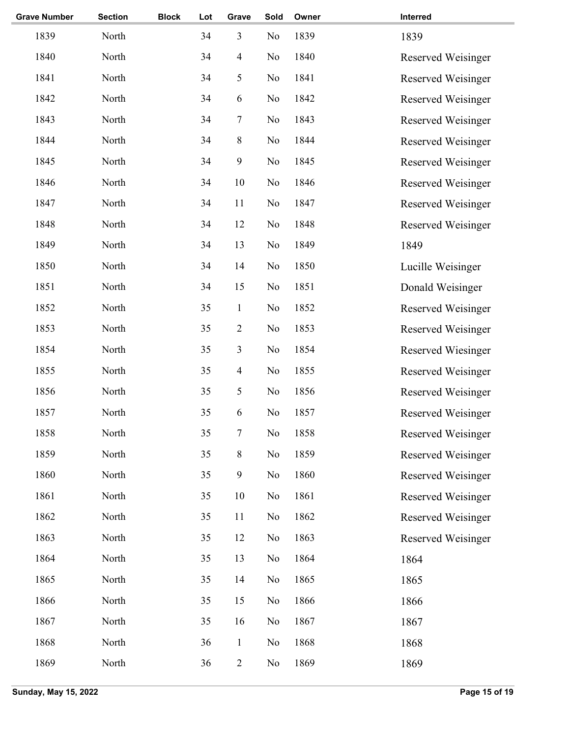| <b>Grave Number</b> | <b>Section</b> | <b>Block</b> | Lot | Grave          | Sold           | Owner | Interred                  |
|---------------------|----------------|--------------|-----|----------------|----------------|-------|---------------------------|
| 1839                | North          |              | 34  | 3              | No             | 1839  | 1839                      |
| 1840                | North          |              | 34  | $\overline{4}$ | No             | 1840  | Reserved Weisinger        |
| 1841                | North          |              | 34  | 5              | No             | 1841  | Reserved Weisinger        |
| 1842                | North          |              | 34  | 6              | No             | 1842  | Reserved Weisinger        |
| 1843                | North          |              | 34  | $\tau$         | No             | 1843  | Reserved Weisinger        |
| 1844                | North          |              | 34  | $8\,$          | No             | 1844  | Reserved Weisinger        |
| 1845                | North          |              | 34  | $\mathbf{9}$   | No             | 1845  | Reserved Weisinger        |
| 1846                | North          |              | 34  | 10             | No             | 1846  | Reserved Weisinger        |
| 1847                | North          |              | 34  | 11             | No             | 1847  | Reserved Weisinger        |
| 1848                | North          |              | 34  | 12             | No             | 1848  | Reserved Weisinger        |
| 1849                | North          |              | 34  | 13             | N <sub>0</sub> | 1849  | 1849                      |
| 1850                | North          |              | 34  | 14             | N <sub>0</sub> | 1850  | Lucille Weisinger         |
| 1851                | North          |              | 34  | 15             | No             | 1851  | Donald Weisinger          |
| 1852                | North          |              | 35  | $\mathbf{1}$   | No             | 1852  | Reserved Weisinger        |
| 1853                | North          |              | 35  | $\overline{2}$ | No             | 1853  | Reserved Weisinger        |
| 1854                | North          |              | 35  | 3              | No             | 1854  | Reserved Wiesinger        |
| 1855                | North          |              | 35  | $\overline{4}$ | No             | 1855  | Reserved Weisinger        |
| 1856                | North          |              | 35  | 5              | No             | 1856  | Reserved Weisinger        |
| 1857                | North          |              | 35  | 6              | No             | 1857  | Reserved Weisinger        |
| 1858                | North          |              | 35  | $\tau$         | No             | 1858  | <b>Reserved Weisinger</b> |
| 1859                | North          |              | 35  | $8\,$          | No             | 1859  | Reserved Weisinger        |
| 1860                | North          |              | 35  | 9              | No             | 1860  | Reserved Weisinger        |
| 1861                | North          |              | 35  | 10             | No             | 1861  | Reserved Weisinger        |
| 1862                | North          |              | 35  | 11             | No             | 1862  | Reserved Weisinger        |
| 1863                | North          |              | 35  | 12             | No             | 1863  | Reserved Weisinger        |
| 1864                | North          |              | 35  | 13             | No             | 1864  | 1864                      |
| 1865                | North          |              | 35  | 14             | N <sub>0</sub> | 1865  | 1865                      |
| 1866                | North          |              | 35  | 15             | No             | 1866  | 1866                      |
| 1867                | North          |              | 35  | 16             | N <sub>0</sub> | 1867  | 1867                      |
| 1868                | North          |              | 36  | $\mathbf{1}$   | No             | 1868  | 1868                      |
| 1869                | North          |              | 36  | $\overline{2}$ | No             | 1869  | 1869                      |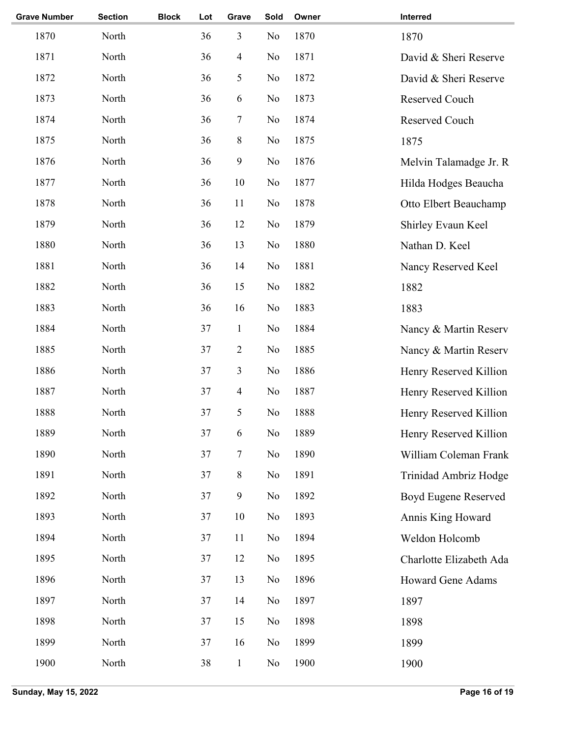| <b>Grave Number</b> | <b>Section</b> | <b>Block</b> | Lot | Grave            | Sold           | Owner | Interred                |
|---------------------|----------------|--------------|-----|------------------|----------------|-------|-------------------------|
| 1870                | North          |              | 36  | 3                | No             | 1870  | 1870                    |
| 1871                | North          |              | 36  | $\overline{4}$   | No             | 1871  | David & Sheri Reserve   |
| 1872                | North          |              | 36  | 5                | No             | 1872  | David & Sheri Reserve   |
| 1873                | North          |              | 36  | 6                | No             | 1873  | Reserved Couch          |
| 1874                | North          |              | 36  | $\tau$           | No             | 1874  | Reserved Couch          |
| 1875                | North          |              | 36  | $8\,$            | No             | 1875  | 1875                    |
| 1876                | North          |              | 36  | $\boldsymbol{9}$ | No             | 1876  | Melvin Talamadge Jr. R  |
| 1877                | North          |              | 36  | 10               | No             | 1877  | Hilda Hodges Beaucha    |
| 1878                | North          |              | 36  | 11               | No             | 1878  | Otto Elbert Beauchamp   |
| 1879                | North          |              | 36  | 12               | No             | 1879  | Shirley Evaun Keel      |
| 1880                | North          |              | 36  | 13               | N <sub>0</sub> | 1880  | Nathan D. Keel          |
| 1881                | North          |              | 36  | 14               | N <sub>0</sub> | 1881  | Nancy Reserved Keel     |
| 1882                | North          |              | 36  | 15               | No             | 1882  | 1882                    |
| 1883                | North          |              | 36  | 16               | No             | 1883  | 1883                    |
| 1884                | North          |              | 37  | $\mathbf{1}$     | No             | 1884  | Nancy & Martin Reserv   |
| 1885                | North          |              | 37  | $\sqrt{2}$       | No             | 1885  | Nancy & Martin Reserv   |
| 1886                | North          |              | 37  | 3                | No             | 1886  | Henry Reserved Killion  |
| 1887                | North          |              | 37  | $\overline{4}$   | No             | 1887  | Henry Reserved Killion  |
| 1888                | North          |              | 37  | 5                | No             | 1888  | Henry Reserved Killion  |
| 1889                | North          |              | 37  | 6                | No             | 1889  | Henry Reserved Killion  |
| 1890                | North          |              | 37  | 7                | No             | 1890  | William Coleman Frank   |
| 1891                | North          |              | 37  | $8\,$            | No             | 1891  | Trinidad Ambriz Hodge   |
| 1892                | North          |              | 37  | $\mathbf{9}$     | No             | 1892  | Boyd Eugene Reserved    |
| 1893                | North          |              | 37  | 10               | No             | 1893  | Annis King Howard       |
| 1894                | North          |              | 37  | 11               | No             | 1894  | Weldon Holcomb          |
| 1895                | North          |              | 37  | 12               | No             | 1895  | Charlotte Elizabeth Ada |
| 1896                | North          |              | 37  | 13               | N <sub>0</sub> | 1896  | Howard Gene Adams       |
| 1897                | North          |              | 37  | 14               | No             | 1897  | 1897                    |
| 1898                | North          |              | 37  | 15               | N <sub>0</sub> | 1898  | 1898                    |
| 1899                | North          |              | 37  | 16               | No             | 1899  | 1899                    |
| 1900                | North          |              | 38  | $\mathbf{1}$     | No             | 1900  | 1900                    |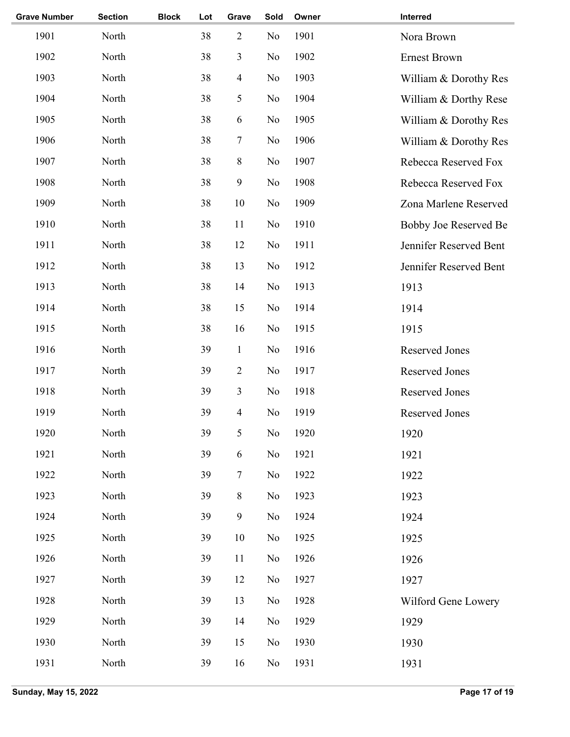| <b>Grave Number</b> | <b>Section</b> | <b>Block</b> | Lot | Grave            | Sold           | Owner | Interred               |
|---------------------|----------------|--------------|-----|------------------|----------------|-------|------------------------|
| 1901                | North          |              | 38  | $\sqrt{2}$       | No             | 1901  | Nora Brown             |
| 1902                | North          |              | 38  | $\mathfrak{Z}$   | No             | 1902  | <b>Ernest Brown</b>    |
| 1903                | North          |              | 38  | $\overline{4}$   | No             | 1903  | William & Dorothy Res  |
| 1904                | North          |              | 38  | 5                | No             | 1904  | William & Dorthy Rese  |
| 1905                | North          |              | 38  | 6                | No             | 1905  | William & Dorothy Res  |
| 1906                | North          |              | 38  | 7                | No             | 1906  | William & Dorothy Res  |
| 1907                | North          |              | 38  | $\,$ 8 $\,$      | No             | 1907  | Rebecca Reserved Fox   |
| 1908                | North          |              | 38  | $\boldsymbol{9}$ | No             | 1908  | Rebecca Reserved Fox   |
| 1909                | North          |              | 38  | 10               | No             | 1909  | Zona Marlene Reserved  |
| 1910                | North          |              | 38  | 11               | No             | 1910  | Bobby Joe Reserved Be  |
| 1911                | North          |              | 38  | 12               | No             | 1911  | Jennifer Reserved Bent |
| 1912                | North          |              | 38  | 13               | No             | 1912  | Jennifer Reserved Bent |
| 1913                | North          |              | 38  | 14               | No             | 1913  | 1913                   |
| 1914                | North          |              | 38  | 15               | No             | 1914  | 1914                   |
| 1915                | North          |              | 38  | 16               | No             | 1915  | 1915                   |
| 1916                | North          |              | 39  | $\mathbf{1}$     | No             | 1916  | <b>Reserved Jones</b>  |
| 1917                | North          |              | 39  | $\sqrt{2}$       | No             | 1917  | Reserved Jones         |
| 1918                | North          |              | 39  | 3                | No             | 1918  | <b>Reserved Jones</b>  |
| 1919                | North          |              | 39  | $\overline{4}$   | No             | 1919  | <b>Reserved Jones</b>  |
| 1920                | North          |              | 39  | 5                | No             | 1920  | 1920                   |
| 1921                | North          |              | 39  | 6                | No             | 1921  | 1921                   |
| 1922                | North          |              | 39  | $\tau$           | No             | 1922  | 1922                   |
| 1923                | North          |              | 39  | $\,8\,$          | No             | 1923  | 1923                   |
| 1924                | North          |              | 39  | $\mathbf{9}$     | No             | 1924  | 1924                   |
| 1925                | North          |              | 39  | 10               | No             | 1925  | 1925                   |
| 1926                | North          |              | 39  | 11               | No             | 1926  | 1926                   |
| 1927                | North          |              | 39  | 12               | N <sub>0</sub> | 1927  | 1927                   |
| 1928                | North          |              | 39  | 13               | No             | 1928  | Wilford Gene Lowery    |
| 1929                | North          |              | 39  | 14               | No             | 1929  | 1929                   |
| 1930                | North          |              | 39  | 15               | No             | 1930  | 1930                   |
| 1931                | North          |              | 39  | 16               | N <sub>0</sub> | 1931  | 1931                   |
|                     |                |              |     |                  |                |       |                        |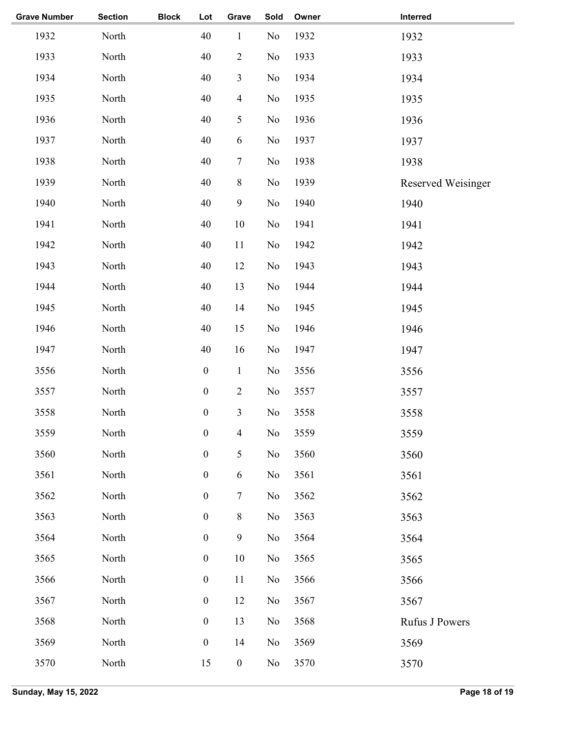| <b>Grave Number</b> | <b>Section</b> | <b>Block</b> | Lot              | Grave                    | Sold           | Owner | Interred           |
|---------------------|----------------|--------------|------------------|--------------------------|----------------|-------|--------------------|
| 1932                | North          |              | 40               | $\mathbf{1}$             | N <sub>o</sub> | 1932  | 1932               |
| 1933                | North          |              | 40               | $\sqrt{2}$               | N <sub>o</sub> | 1933  | 1933               |
| 1934                | North          |              | 40               | $\mathfrak{Z}$           | N <sub>o</sub> | 1934  | 1934               |
| 1935                | North          |              | 40               | $\overline{\mathbf{4}}$  | N <sub>o</sub> | 1935  | 1935               |
| 1936                | North          |              | 40               | 5                        | No             | 1936  | 1936               |
| 1937                | North          |              | 40               | 6                        | No             | 1937  | 1937               |
| 1938                | North          |              | 40               | $\boldsymbol{7}$         | No             | 1938  | 1938               |
| 1939                | North          |              | 40               | $\,$ $\,$                | N <sub>o</sub> | 1939  | Reserved Weisinger |
| 1940                | North          |              | 40               | 9                        | N <sub>o</sub> | 1940  | 1940               |
| 1941                | North          |              | 40               | $10\,$                   | No             | 1941  | 1941               |
| 1942                | North          |              | 40               | $11\,$                   | No             | 1942  | 1942               |
| 1943                | North          |              | 40               | 12                       | No             | 1943  | 1943               |
| 1944                | North          |              | 40               | 13                       | No             | 1944  | 1944               |
| 1945                | North          |              | 40               | 14                       | No             | 1945  | 1945               |
| 1946                | North          |              | 40               | 15                       | N <sub>o</sub> | 1946  | 1946               |
| 1947                | North          |              | 40               | 16                       | N <sub>0</sub> | 1947  | 1947               |
| 3556                | North          |              | $\boldsymbol{0}$ | $\mathbf{1}$             | No             | 3556  | 3556               |
| 3557                | North          |              | $\boldsymbol{0}$ | $\overline{2}$           | No             | 3557  | 3557               |
| 3558                | North          |              | $\boldsymbol{0}$ | $\overline{\mathbf{3}}$  | No             | 3558  | 3558               |
| 3559                | North          |              | $\boldsymbol{0}$ | $\overline{\mathcal{A}}$ | No             | 3559  | 3559               |
| 3560                | North          |              | $\boldsymbol{0}$ | 5                        | No             | 3560  | 3560               |
| 3561                | North          |              | $\boldsymbol{0}$ | $\sqrt{6}$               | No             | 3561  | 3561               |
| 3562                | North          |              | $\boldsymbol{0}$ | $\boldsymbol{7}$         | No             | 3562  | 3562               |
| 3563                | North          |              | $\boldsymbol{0}$ | $8\,$                    | No             | 3563  | 3563               |
| 3564                | North          |              | $\boldsymbol{0}$ | $\boldsymbol{9}$         | No             | 3564  | 3564               |
| 3565                | North          |              | $\boldsymbol{0}$ | $10\,$                   | No             | 3565  | 3565               |
| 3566                | North          |              | $\boldsymbol{0}$ | 11                       | No             | 3566  | 3566               |
| 3567                | North          |              | $\boldsymbol{0}$ | 12                       | No             | 3567  | 3567               |
| 3568                | North          |              | $\boldsymbol{0}$ | 13                       | No             | 3568  | Rufus J Powers     |
| 3569                | North          |              | $\boldsymbol{0}$ | 14                       | No             | 3569  | 3569               |
| 3570                | North          |              | 15               | $\boldsymbol{0}$         | No             | 3570  | 3570               |